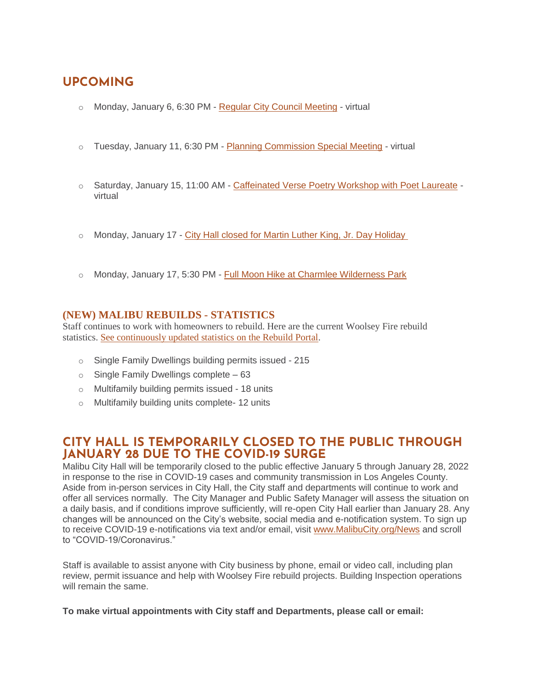# **UPCOMING**

- Monday, January 6, 6:30 PM [Regular City Council Meeting](https://www.malibucity.org/Calendar.aspx?EID=6306&month=1&year=2022&day=10&calType=0) virtual
- o Tuesday, January 11, 6:30 PM [Planning Commission Special Meeting](https://www.malibucity.org/Calendar.aspx?EID=6370&month=1&year=2022&day=11&calType=0) virtual
- o Saturday, January 15, 11:00 AM [Caffeinated Verse Poetry Workshop with Poet Laureate](https://www.malibucity.org/Calendar.aspx?EID=6403&month=1&year=2022&day=15&calType=0) virtual
- o Monday, January 17 [City Hall closed for Martin Luther King, Jr. Day Holiday](https://www.malibucity.org/Calendar.aspx?EID=5671&month=1&year=2022&day=17&calType=0)
- o Monday, January 17, 5:30 PM [Full Moon Hike at Charmlee Wilderness Park](https://www.malibucity.org/Calendar.aspx?EID=6431&month=1&year=2022&day=17&calType=0)

#### **(NEW) MALIBU REBUILDS - STATISTICS**

Staff continues to work with homeowners to rebuild. Here are the current Woolsey Fire rebuild statistics. See [continuously](https://malibupermits.ci.malibu.ca.us/WoolseyRebuildStats.aspx?returnId=901) updated statistics on the Rebuild Portal.

- o Single Family Dwellings building permits issued 215
- $\circ$  Single Family Dwellings complete 63
- o Multifamily building permits issued 18 units
- o Multifamily building units complete- 12 units

### **CITY HALL IS TEMPORARILY CLOSED TO THE PUBLIC THROUGH JANUARY 28 DUE TO THE COVID-19 SURGE**

Malibu City Hall will be temporarily closed to the public effective January 5 through January 28, 2022 in response to the rise in COVID-19 cases and community transmission in Los Angeles County. Aside from in-person services in City Hall, the City staff and departments will continue to work and offer all services normally. The City Manager and Public Safety Manager will assess the situation on a daily basis, and if conditions improve sufficiently, will re-open City Hall earlier than January 28. Any changes will be announced on the City's website, social media and e-notification system. To sign up to receive COVID-19 e-notifications via text and/or email, visit [www.MalibuCity.org/News](http://www.malibucity.org/News) and scroll to "COVID-19/Coronavirus."

Staff is available to assist anyone with City business by phone, email or video call, including plan review, permit issuance and help with Woolsey Fire rebuild projects. Building Inspection operations will remain the same.

**To make virtual appointments with City staff and Departments, please call or email:**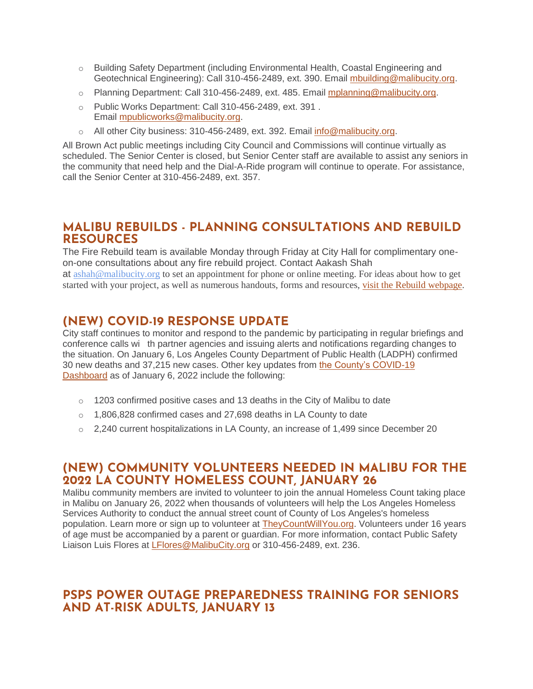- o Building Safety Department (including Environmental Health, Coastal Engineering and Geotechnical Engineering): Call 310-456-2489, ext. 390. Email [mbuilding@malibucity.org.](mailto:mbuilding@malibucity.org)
- o Planning Department: Call 310-456-2489, ext. 485. Email [mplanning@malibucity.org.](mailto:mplanning@malibucity.org)
- o Public Works Department: Call 310-456-2489, ext. 391 . Email [mpublicworks@malibucity.org.](mailto:mpublicworks@malibucity.org)
- o All other City business: 310-456-2489, ext. 392. Email [info@malibucity.org.](mailto:info@malibucity.org)

All Brown Act public meetings including City Council and Commissions will continue virtually as scheduled. The Senior Center is closed, but Senior Center staff are available to assist any seniors in the community that need help and the Dial-A-Ride program will continue to operate. For assistance, call the Senior Center at 310-456-2489, ext. 357.

### **MALIBU REBUILDS - PLANNING CONSULTATIONS AND REBUILD RESOURCES**

The Fire Rebuild team is available Monday through Friday at City Hall for complimentary oneon-one consultations about any fire rebuild project. Contact Aakash Shah

at [ashah@malibucity.org](mailto:ashah@malibucity.org) to set an appointment for phone or online meeting. For ideas about how to get started with your project, as well as numerous handouts, forms and resources, visit the Rebuild [webpage.](https://www.malibucity.org/901/Malibu-Rebuilds)

# **(NEW) COVID-19 RESPONSE UPDATE**

City staff continues to monitor and respond to the pandemic by participating in regular briefings and conference calls wi th partner agencies and issuing alerts and notifications regarding changes to the situation. On January 6, Los Angeles County Department of Public Health (LADPH) confirmed 30 new deaths and 37,215 new cases. Other key updates from [the County's COVID-19](http://publichealth.lacounty.gov/media/coronavirus/data/index.htm)  [Dashboard](http://publichealth.lacounty.gov/media/coronavirus/data/index.htm) as of January 6, 2022 include the following:

- $\circ$  1203 confirmed positive cases and 13 deaths in the City of Malibu to date
- $\circ$  1,806,828 confirmed cases and 27,698 deaths in LA County to date
- $\circ$  2.240 current hospitalizations in LA County, an increase of 1,499 since December 20

#### **(NEW) COMMUNITY VOLUNTEERS NEEDED IN MALIBU FOR THE 2022 LA COUNTY HOMELESS COUNT, JANUARY 26**

Malibu community members are invited to volunteer to join the annual Homeless Count taking place in Malibu on January 26, 2022 when thousands of volunteers will help the Los Angeles Homeless Services Authority to conduct the annual street count of County of Los Angeles's homeless population. Learn more or sign up to volunteer at [TheyCountWillYou.org.](https://www.theycountwillyou.org/) Volunteers under 16 years of age must be accompanied by a parent or guardian. For more information, contact Public Safety Liaison Luis Flores at *[LFlores@MalibuCity.org](mailto:LFlores@MalibuCity.org)* or 310-456-2489, ext. 236.

# **PSPS POWER OUTAGE PREPAREDNESS TRAINING FOR SENIORS AND AT-RISK ADULTS, JANUARY 13**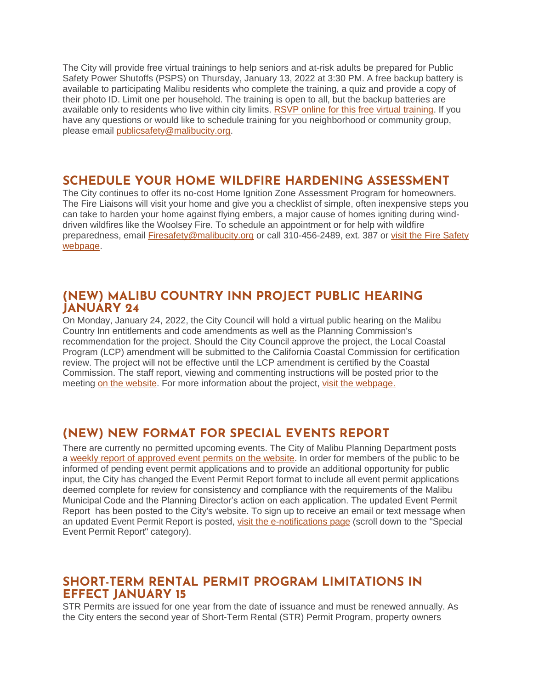The City will provide free virtual trainings to help seniors and at-risk adults be prepared for Public Safety Power Shutoffs (PSPS) on Thursday, January 13, 2022 at 3:30 PM. A free backup battery is available to participating Malibu residents who complete the training, a quiz and provide a copy of their photo ID. Limit one per household. The training is open to all, but the backup batteries are available only to residents who live within city limits. [RSVP online for this free virtual training.](http://malibusafety.eventbrite.com/) If you have any questions or would like to schedule training for you neighborhood or community group, please email [publicsafety@malibucity.org.](mailto:publicsafety@malibucity.org)

## **SCHEDULE YOUR HOME WILDFIRE HARDENING ASSESSMENT**

The City continues to offer its no-cost Home Ignition Zone Assessment Program for homeowners. The Fire Liaisons will visit your home and give you a checklist of simple, often inexpensive steps you can take to harden your home against flying embers, a major cause of homes igniting during winddriven wildfires like the Woolsey Fire. To schedule an appointment or for help with wildfire preparedness, email [Firesafety@malibucity.org](mailto:Firesafety@malibucity.org) or call 310-456-2489, ext. 387 or [visit the Fire Safety](https://www.malibucity.org/firesafety)  [webpage.](https://www.malibucity.org/firesafety)

### **(NEW) MALIBU COUNTRY INN PROJECT PUBLIC HEARING JANUARY 24**

On Monday, January 24, 2022, the City Council will hold a virtual public hearing on the Malibu Country Inn entitlements and code amendments as well as the Planning Commission's recommendation for the project. Should the City Council approve the project, the Local Coastal Program (LCP) amendment will be submitted to the California Coastal Commission for certification review. The project will not be effective until the LCP amendment is certified by the Coastal Commission. The staff report, viewing and commenting instructions will be posted prior to the meeting [on the website.](http://www.malibucity.org/virtualmeeting) For more information about the project, [visit the webpage.](https://www.malibucity.org/1093/Malibu-Country-Inn)

# **(NEW) NEW FORMAT FOR SPECIAL EVENTS REPORT**

There are currently no permitted upcoming events. The City of Malibu Planning Department posts a [weekly report of approved event permits on the website.](https://www.malibucity.org/DocumentCenter/View/24661/Permitted-Events) In order for members of the public to be informed of pending event permit applications and to provide an additional opportunity for public input, the City has changed the Event Permit Report format to include all event permit applications deemed complete for review for consistency and compliance with the requirements of the Malibu Municipal Code and the Planning Director's action on each application. The updated Event Permit Report has been posted to the City's website. To sign up to receive an email or text message when an updated Event Permit Report is posted, [visit the e-notifications page](https://www.malibucity.org/news) (scroll down to the "Special Event Permit Report" category).

### **SHORT-TERM RENTAL PERMIT PROGRAM LIMITATIONS IN EFFECT JANUARY 15**

STR Permits are issued for one year from the date of issuance and must be renewed annually. As the City enters the second year of Short-Term Rental (STR) Permit Program, property owners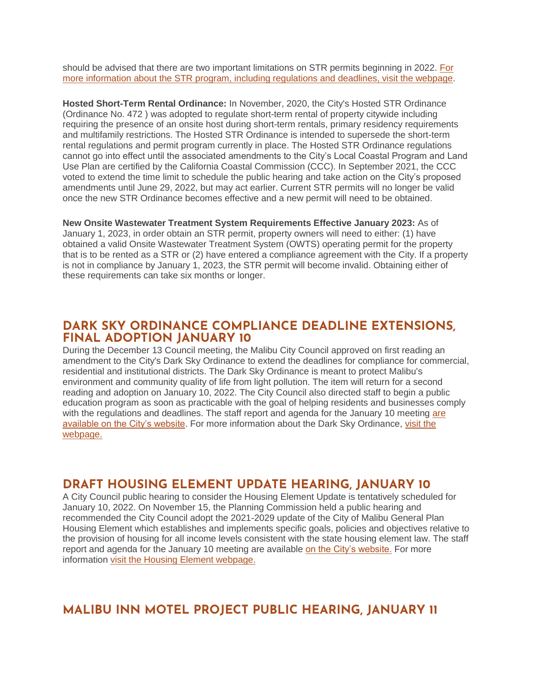should be advised that there are two important limitations on STR permits beginning in 2022. [For](https://malibucity.org/820/Short-Term-Rental-Program)  [more information about the STR program, including regulations and deadlines, visit the webpage.](https://malibucity.org/820/Short-Term-Rental-Program)

**Hosted Short-Term Rental Ordinance:** In November, 2020, the City's Hosted STR Ordinance (Ordinance No. 472 ) was adopted to regulate short-term rental of property citywide including requiring the presence of an onsite host during short-term rentals, primary residency requirements and multifamily restrictions. The Hosted STR Ordinance is intended to supersede the short-term rental regulations and permit program currently in place. The Hosted STR Ordinance regulations cannot go into effect until the associated amendments to the City's Local Coastal Program and Land Use Plan are certified by the California Coastal Commission (CCC). In September 2021, the CCC voted to extend the time limit to schedule the public hearing and take action on the City's proposed amendments until June 29, 2022, but may act earlier. Current STR permits will no longer be valid once the new STR Ordinance becomes effective and a new permit will need to be obtained.

**New Onsite Wastewater Treatment System Requirements Effective January 2023:** As of January 1, 2023, in order obtain an STR permit, property owners will need to either: (1) have obtained a valid Onsite Wastewater Treatment System (OWTS) operating permit for the property that is to be rented as a STR or (2) have entered a compliance agreement with the City. If a property is not in compliance by January 1, 2023, the STR permit will become invalid. Obtaining either of these requirements can take six months or longer.

#### **DARK SKY ORDINANCE COMPLIANCE DEADLINE EXTENSIONS, FINAL ADOPTION JANUARY 10**

During the December 13 Council meeting, the Malibu City Council approved on first reading an amendment to the City's Dark Sky Ordinance to extend the deadlines for compliance for commercial, residential and institutional districts. The Dark Sky Ordinance is meant to protect Malibu's environment and community quality of life from light pollution. The item will return for a second reading and adoption on January 10, 2022. The City Council also directed staff to begin a public education program as soon as practicable with the goal of helping residents and businesses comply with the regulations and deadlines. The staff report and agenda for the January 10 meeting are [available on the City's website.](https://www.malibucity.org/AgendaCenter/ViewFile/Agenda/_01102022-1821?html=true) For more information about the Dark Sky Ordinance, [visit the](https://www.malibucity.org/705/Dark-Sky-Ordinance)  [webpage.](https://www.malibucity.org/705/Dark-Sky-Ordinance)

# **DRAFT HOUSING ELEMENT UPDATE HEARING, JANUARY 10**

A City Council public hearing to consider the Housing Element Update is tentatively scheduled for January 10, 2022. On November 15, the Planning Commission held a public hearing and recommended the City Council adopt the 2021-2029 update of the City of Malibu General Plan Housing Element which establishes and implements specific goals, policies and objectives relative to the provision of housing for all income levels consistent with the state housing element law. The staff report and agenda for the January 10 meeting are available [on the City's website.](https://www.malibucity.org/AgendaCenter/ViewFile/Agenda/_01102022-1821?html=true) For more information [visit the Housing Element webpage.](https://www.malibucity.org/housingelement)

# **MALIBU INN MOTEL PROJECT PUBLIC HEARING, JANUARY 11**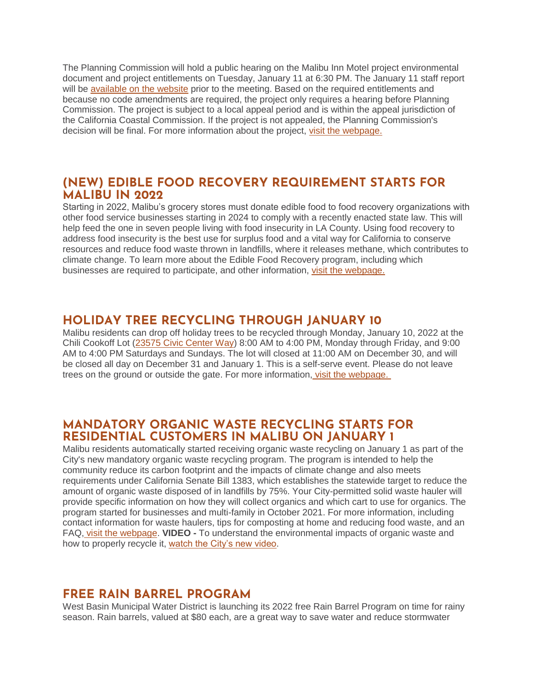The Planning Commission will hold a public hearing on the Malibu Inn Motel project environmental document and project entitlements on Tuesday, January 11 at 6:30 PM. The January 11 staff report will be [available on the website](https://www.malibucity.org/agendacenter) prior to the meeting. Based on the required entitlements and because no code amendments are required, the project only requires a hearing before Planning Commission. The project is subject to a local appeal period and is within the appeal jurisdiction of the California Coastal Commission. If the project is not appealed, the Planning Commission's decision will be final. For more information about the project, [visit the webpage.](https://www.malibucity.org/810/Malibu-Inn-Motel)

### **(NEW) EDIBLE FOOD RECOVERY REQUIREMENT STARTS FOR MALIBU IN 2022**

Starting in 2022, Malibu's grocery stores must donate edible food to food recovery organizations with other food service businesses starting in 2024 to comply with a recently enacted state law. This will help feed the one in seven people living with food insecurity in LA County. Using food recovery to address food insecurity is the best use for surplus food and a vital way for California to conserve resources and reduce food waste thrown in landfills, where it releases methane, which contributes to climate change. To learn more about the Edible Food Recovery program, including which businesses are required to participate, and other information, [visit the webpage.](https://www.malibucity.org/303/Food-Recovery)

# **HOLIDAY TREE RECYCLING THROUGH JANUARY 10**

Malibu residents can drop off holiday trees to be recycled through Monday, January 10, 2022 at the Chili Cookoff Lot [\(23575 Civic Center Way\)](https://goo.gl/maps/rcbnKbCCd25gmBZx5) 8:00 AM to 4:00 PM, Monday through Friday, and 9:00 AM to 4:00 PM Saturdays and Sundays. The lot will closed at 11:00 AM on December 30, and will be closed all day on December 31 and January 1. This is a self-serve event. Please do not leave trees on the ground or outside the gate. For more information, [visit the webpage.](https://www.malibucity.org/Calendar.aspx?EID=5620)

## **MANDATORY ORGANIC WASTE RECYCLING STARTS FOR RESIDENTIAL CUSTOMERS IN MALIBU ON JANUARY 1**

Malibu residents automatically started receiving organic waste recycling on January 1 as part of the City's new mandatory organic waste recycling program. The program is intended to help the community reduce its carbon footprint and the impacts of climate change and also meets requirements under California Senate Bill 1383, which establishes the statewide target to reduce the amount of organic waste disposed of in landfills by 75%. Your City-permitted solid waste hauler will provide specific information on how they will collect organics and which cart to use for organics. The program started for businesses and multi-family in October 2021. For more information, including contact information for waste haulers, tips for composting at home and reducing food waste, and an FAQ, [visit the webpage.](https://www.malibucity.org/organics) **VIDEO -** To understand the environmental impacts of organic waste and how to properly recycle it, [watch the City's new video.](https://youtu.be/dZGqdZR7TnU)

# **FREE RAIN BARREL PROGRAM**

West Basin Municipal Water District is launching its 2022 free Rain Barrel Program on time for rainy season. Rain barrels, valued at \$80 each, are a great way to save water and reduce stormwater